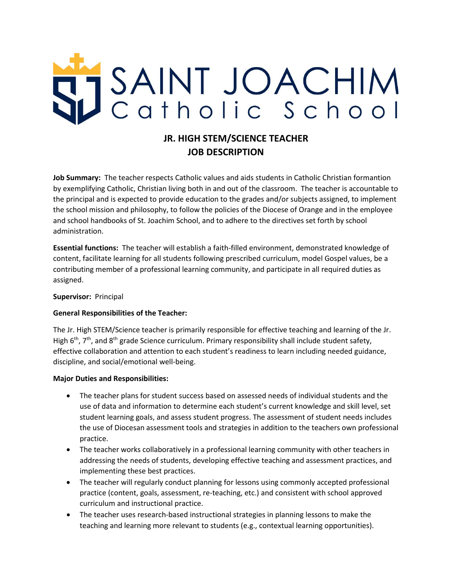# SAINT JOACHIM

# **JR. HIGH STEM/SCIENCE TEACHER JOB DESCRIPTION**

**Job Summary:** The teacher respects Catholic values and aids students in Catholic Christian formantion by exemplifying Catholic, Christian living both in and out of the classroom. The teacher is accountable to the principal and is expected to provide education to the grades and/or subjects assigned, to implement the school mission and philosophy, to follow the policies of the Diocese of Orange and in the employee and school handbooks of St. Joachim School, and to adhere to the directives set forth by school administration.

**Essential functions:** The teacher will establish a faith-filled environment, demonstrated knowledge of content, facilitate learning for all students following prescribed curriculum, model Gospel values, be a contributing member of a professional learning community, and participate in all required duties as assigned.

### **Supervisor:** Principal

### **General Responsibilities of the Teacher:**

The Jr. High STEM/Science teacher is primarily responsible for effective teaching and learning of the Jr. High  $6<sup>th</sup>$ , 7<sup>th</sup>, and  $8<sup>th</sup>$  grade Science curriculum. Primary responsibility shall include student safety, effective collaboration and attention to each student's readiness to learn including needed guidance, discipline, and social/emotional well-being.

### **Major Duties and Responsibilities:**

- The teacher plans for student success based on assessed needs of individual students and the use of data and information to determine each student's current knowledge and skill level, set student learning goals, and assess student progress. The assessment of student needs includes the use of Diocesan assessment tools and strategies in addition to the teachers own professional practice.
- The teacher works collaboratively in a professional learning community with other teachers in addressing the needs of students, developing effective teaching and assessment practices, and implementing these best practices.
- The teacher will regularly conduct planning for lessons using commonly accepted professional practice (content, goals, assessment, re-teaching, etc.) and consistent with school approved curriculum and instructional practice.
- The teacher uses research-based instructional strategies in planning lessons to make the teaching and learning more relevant to students (e.g., contextual learning opportunities).